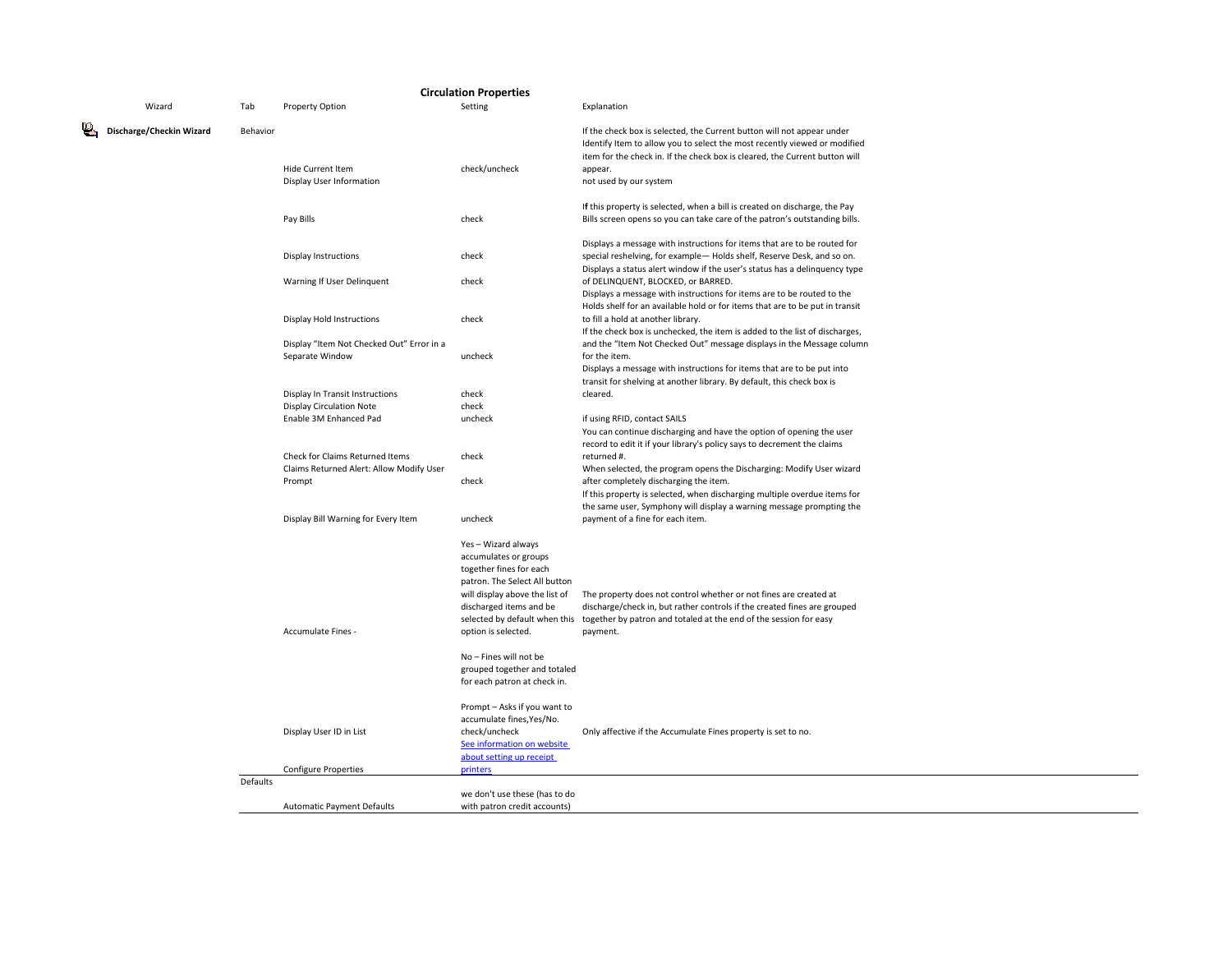|  |                          |          |                                                                                       | <b>Circulation Properties</b>                                                                                                                                                                                                                                                          |                                                                                                                                                                                                                                                                         |
|--|--------------------------|----------|---------------------------------------------------------------------------------------|----------------------------------------------------------------------------------------------------------------------------------------------------------------------------------------------------------------------------------------------------------------------------------------|-------------------------------------------------------------------------------------------------------------------------------------------------------------------------------------------------------------------------------------------------------------------------|
|  | Wizard                   | Tab      | Property Option                                                                       | Setting                                                                                                                                                                                                                                                                                | Explanation                                                                                                                                                                                                                                                             |
|  | Discharge/Checkin Wizard | Behavior | Hide Current Item<br>Display User Information                                         | check/uncheck                                                                                                                                                                                                                                                                          | If the check box is selected, the Current button will not appear under<br>Identify Item to allow you to select the most recently viewed or modified<br>item for the check in. If the check box is cleared, the Current button will<br>appear.<br>not used by our system |
|  |                          |          | Pay Bills                                                                             | check                                                                                                                                                                                                                                                                                  | If this property is selected, when a bill is created on discharge, the Pay<br>Bills screen opens so you can take care of the patron's outstanding bills.                                                                                                                |
|  |                          |          | <b>Display Instructions</b>                                                           | check                                                                                                                                                                                                                                                                                  | Displays a message with instructions for items that are to be routed for<br>special reshelving, for example-Holds shelf, Reserve Desk, and so on.<br>Displays a status alert window if the user's status has a delinquency type                                         |
|  |                          |          | Warning If User Delinquent                                                            | check                                                                                                                                                                                                                                                                                  | of DELINQUENT, BLOCKED, or BARRED.<br>Displays a message with instructions for items are to be routed to the                                                                                                                                                            |
|  |                          |          | Display Hold Instructions                                                             | check                                                                                                                                                                                                                                                                                  | Holds shelf for an available hold or for items that are to be put in transit<br>to fill a hold at another library.<br>If the check box is unchecked, the item is added to the list of discharges,                                                                       |
|  |                          |          | Display "Item Not Checked Out" Error in a<br>Separate Window                          | uncheck                                                                                                                                                                                                                                                                                | and the "Item Not Checked Out" message displays in the Message column<br>for the item.<br>Displays a message with instructions for items that are to be put into<br>transit for shelving at another library. By default, this check box is                              |
|  |                          |          | Display In Transit Instructions<br><b>Display Circulation Note</b>                    | check<br>check                                                                                                                                                                                                                                                                         | cleared.                                                                                                                                                                                                                                                                |
|  |                          |          | Enable 3M Enhanced Pad                                                                | uncheck                                                                                                                                                                                                                                                                                | if using RFID, contact SAILS<br>You can continue discharging and have the option of opening the user<br>record to edit it if your library's policy says to decrement the claims                                                                                         |
|  |                          |          | Check for Claims Returned Items<br>Claims Returned Alert: Allow Modify User<br>Prompt | check<br>check                                                                                                                                                                                                                                                                         | returned #.<br>When selected, the program opens the Discharging: Modify User wizard<br>after completely discharging the item.                                                                                                                                           |
|  |                          |          | Display Bill Warning for Every Item                                                   | uncheck                                                                                                                                                                                                                                                                                | If this property is selected, when discharging multiple overdue items for<br>the same user, Symphony will display a warning message prompting the<br>payment of a fine for each item.                                                                                   |
|  |                          |          | Accumulate Fines -                                                                    | Yes - Wizard always<br>accumulates or groups<br>together fines for each<br>patron. The Select All button<br>will display above the list of<br>discharged items and be<br>option is selected.<br>No - Fines will not be<br>grouped together and totaled<br>for each patron at check in. | The property does not control whether or not fines are created at<br>discharge/check in, but rather controls if the created fines are grouped<br>selected by default when this together by patron and totaled at the end of the session for easy<br>payment.            |
|  |                          |          | Display User ID in List<br><b>Configure Properties</b>                                | Prompt - Asks if you want to<br>accumulate fines, Yes/No.<br>check/uncheck<br>See information on website<br>about setting up receipt<br>printers                                                                                                                                       | Only affective if the Accumulate Fines property is set to no.                                                                                                                                                                                                           |
|  |                          | Defaults | <b>Automatic Payment Defaults</b>                                                     | we don't use these (has to do<br>with patron credit accounts)                                                                                                                                                                                                                          |                                                                                                                                                                                                                                                                         |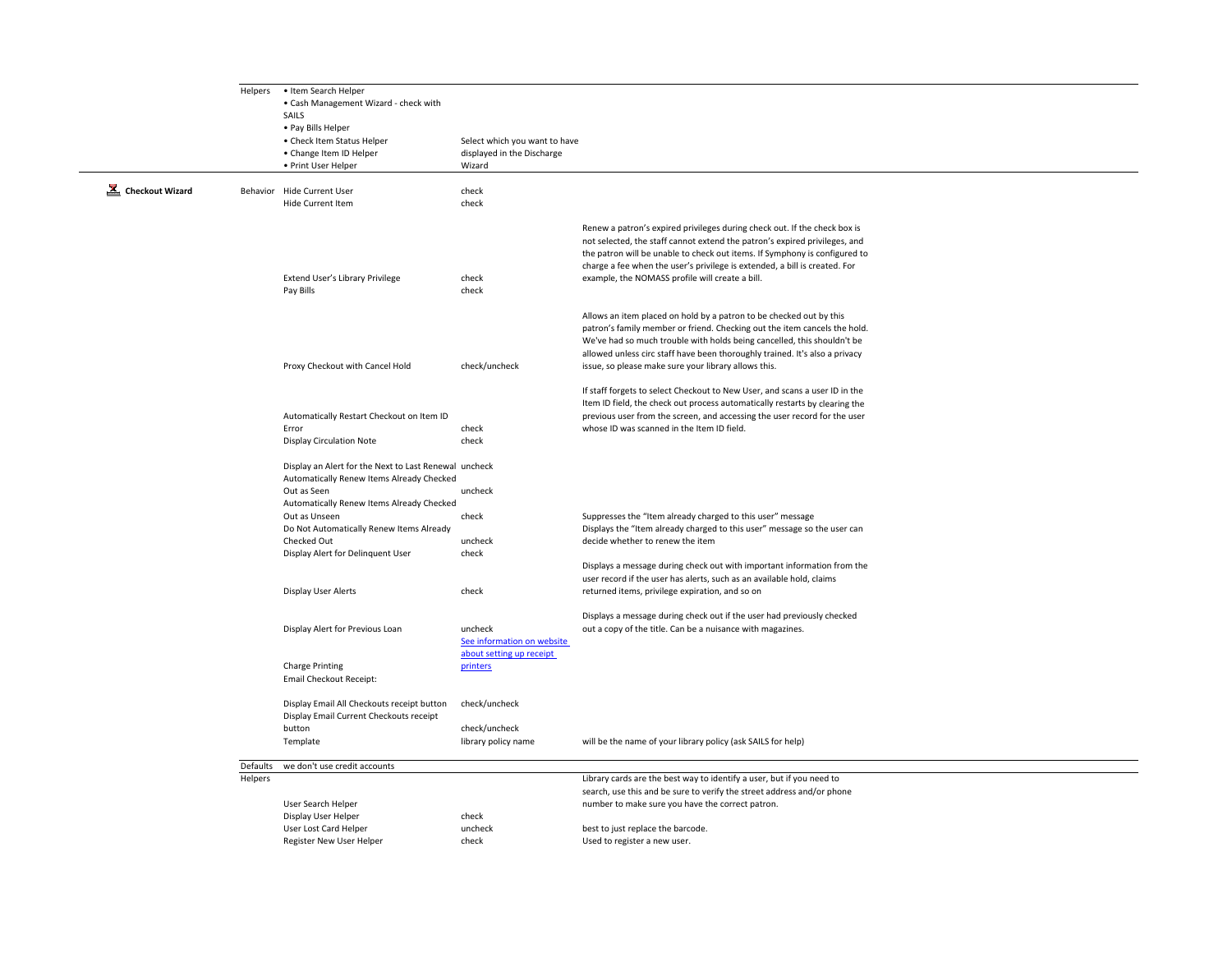|                              | Helpers             | • Item Search Helper<br>• Cash Management Wizard - check with<br>SAILS<br>• Pay Bills Helper                                                                   |                                                                       |                                                                                                                                                                                                                                                                                                                                                                        |
|------------------------------|---------------------|----------------------------------------------------------------------------------------------------------------------------------------------------------------|-----------------------------------------------------------------------|------------------------------------------------------------------------------------------------------------------------------------------------------------------------------------------------------------------------------------------------------------------------------------------------------------------------------------------------------------------------|
|                              |                     | • Check Item Status Helper<br>• Change Item ID Helper<br>• Print User Helper                                                                                   | Select which you want to have<br>displayed in the Discharge<br>Wizard |                                                                                                                                                                                                                                                                                                                                                                        |
| $\mathbf{L}$ Checkout Wizard |                     | Behavior Hide Current User<br>Hide Current Item                                                                                                                | check<br>check                                                        |                                                                                                                                                                                                                                                                                                                                                                        |
|                              |                     | Extend User's Library Privilege<br>Pay Bills                                                                                                                   | check<br>check                                                        | Renew a patron's expired privileges during check out. If the check box is<br>not selected, the staff cannot extend the patron's expired privileges, and<br>the patron will be unable to check out items. If Symphony is configured to<br>charge a fee when the user's privilege is extended, a bill is created. For<br>example, the NOMASS profile will create a bill. |
|                              |                     | Proxy Checkout with Cancel Hold                                                                                                                                | check/uncheck                                                         | Allows an item placed on hold by a patron to be checked out by this<br>patron's family member or friend. Checking out the item cancels the hold.<br>We've had so much trouble with holds being cancelled, this shouldn't be<br>allowed unless circ staff have been thoroughly trained. It's also a privacy<br>issue, so please make sure your library allows this.     |
|                              |                     | Automatically Restart Checkout on Item ID<br>Error<br><b>Display Circulation Note</b>                                                                          | check<br>check                                                        | If staff forgets to select Checkout to New User, and scans a user ID in the<br>Item ID field, the check out process automatically restarts by clearing the<br>previous user from the screen, and accessing the user record for the user<br>whose ID was scanned in the Item ID field.                                                                                  |
|                              |                     | Display an Alert for the Next to Last Renewal uncheck<br>Automatically Renew Items Already Checked<br>Out as Seen<br>Automatically Renew Items Already Checked | uncheck                                                               |                                                                                                                                                                                                                                                                                                                                                                        |
|                              |                     | Out as Unseen<br>Do Not Automatically Renew Items Already<br>Checked Out<br>Display Alert for Delinquent User                                                  | check<br>uncheck<br>check                                             | Suppresses the "Item already charged to this user" message<br>Displays the "Item already charged to this user" message so the user can<br>decide whether to renew the item                                                                                                                                                                                             |
|                              |                     | Display User Alerts                                                                                                                                            | check                                                                 | Displays a message during check out with important information from the<br>user record if the user has alerts, such as an available hold, claims<br>returned items, privilege expiration, and so on                                                                                                                                                                    |
|                              |                     | Display Alert for Previous Loan                                                                                                                                | uncheck<br>See information on website<br>about setting up receipt     | Displays a message during check out if the user had previously checked<br>out a copy of the title. Can be a nuisance with magazines.                                                                                                                                                                                                                                   |
|                              |                     | <b>Charge Printing</b><br>Email Checkout Receipt:                                                                                                              | printers                                                              |                                                                                                                                                                                                                                                                                                                                                                        |
|                              |                     | Display Email All Checkouts receipt button<br>Display Email Current Checkouts receipt<br>button                                                                | check/uncheck<br>check/uncheck                                        |                                                                                                                                                                                                                                                                                                                                                                        |
|                              |                     | Template                                                                                                                                                       | library policy name                                                   | will be the name of your library policy (ask SAILS for help)                                                                                                                                                                                                                                                                                                           |
|                              | Defaults<br>Helpers | we don't use credit accounts<br>User Search Helper                                                                                                             |                                                                       | Library cards are the best way to identify a user, but if you need to<br>search, use this and be sure to verify the street address and/or phone<br>number to make sure you have the correct patron.                                                                                                                                                                    |
|                              |                     | Display User Helper<br><b>User Lost Card Helper</b><br>Register New User Helper                                                                                | check<br>uncheck<br>check                                             | best to just replace the barcode.<br>Used to register a new user.                                                                                                                                                                                                                                                                                                      |
|                              |                     |                                                                                                                                                                |                                                                       |                                                                                                                                                                                                                                                                                                                                                                        |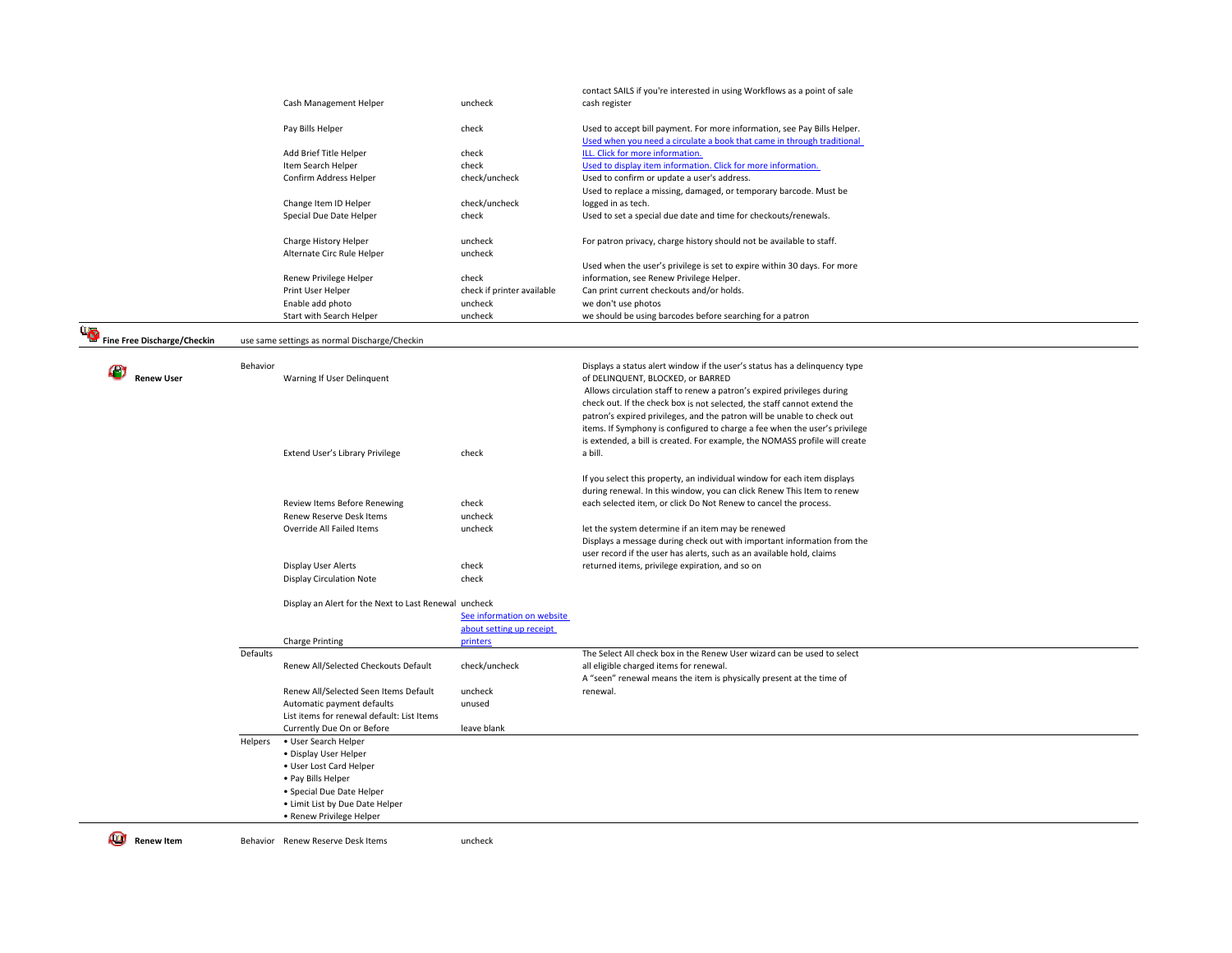|                             |          | Cash Management Helper                                | uncheck                    | contact SAILS if you're interested in using Workflows as a point of sale<br>cash register                                                          |
|-----------------------------|----------|-------------------------------------------------------|----------------------------|----------------------------------------------------------------------------------------------------------------------------------------------------|
|                             |          |                                                       |                            |                                                                                                                                                    |
|                             |          | Pay Bills Helper                                      | check                      | Used to accept bill payment. For more information, see Pay Bills Helper.<br>Used when you need a circulate a book that came in through traditional |
|                             |          | Add Brief Title Helper                                | check                      | ILL. Click for more information.                                                                                                                   |
|                             |          | Item Search Helper                                    | check                      | Used to display item information. Click for more information.                                                                                      |
|                             |          | Confirm Address Helper                                | check/uncheck              | Used to confirm or update a user's address.<br>Used to replace a missing, damaged, or temporary barcode. Must be                                   |
|                             |          | Change Item ID Helper                                 | check/uncheck              | logged in as tech.                                                                                                                                 |
|                             |          | Special Due Date Helper                               | check                      | Used to set a special due date and time for checkouts/renewals.                                                                                    |
|                             |          | Charge History Helper                                 | uncheck                    | For patron privacy, charge history should not be available to staff.                                                                               |
|                             |          | Alternate Circ Rule Helper                            | uncheck                    |                                                                                                                                                    |
|                             |          |                                                       |                            | Used when the user's privilege is set to expire within 30 days. For more                                                                           |
|                             |          | Renew Privilege Helper                                | check                      | information, see Renew Privilege Helper.                                                                                                           |
|                             |          | Print User Helper                                     | check if printer available | Can print current checkouts and/or holds.                                                                                                          |
|                             |          | Enable add photo<br>Start with Search Helper          | uncheck<br>uncheck         | we don't use photos                                                                                                                                |
|                             |          |                                                       |                            | we should be using barcodes before searching for a patron                                                                                          |
| Fine Free Discharge/Checkin |          | use same settings as normal Discharge/Checkin         |                            |                                                                                                                                                    |
|                             |          |                                                       |                            |                                                                                                                                                    |
| <b>Renew User</b>           | Behavior | Warning If User Delinquent                            |                            | Displays a status alert window if the user's status has a delinquency type<br>of DELINQUENT, BLOCKED, or BARRED                                    |
|                             |          |                                                       |                            |                                                                                                                                                    |
|                             |          |                                                       |                            | Allows circulation staff to renew a patron's expired privileges during                                                                             |
|                             |          |                                                       |                            | check out. If the check box is not selected, the staff cannot extend the                                                                           |
|                             |          |                                                       |                            | patron's expired privileges, and the patron will be unable to check out                                                                            |
|                             |          |                                                       |                            | items. If Symphony is configured to charge a fee when the user's privilege                                                                         |
|                             |          |                                                       |                            | is extended, a bill is created. For example, the NOMASS profile will create                                                                        |
|                             |          | Extend User's Library Privilege                       | check                      | a bill.                                                                                                                                            |
|                             |          |                                                       |                            | If you select this property, an individual window for each item displays                                                                           |
|                             |          |                                                       |                            | during renewal. In this window, you can click Renew This Item to renew                                                                             |
|                             |          | Review Items Before Renewing                          | check                      | each selected item, or click Do Not Renew to cancel the process.                                                                                   |
|                             |          | Renew Reserve Desk Items                              |                            |                                                                                                                                                    |
|                             |          | Override All Failed Items                             | uncheck                    |                                                                                                                                                    |
|                             |          |                                                       | uncheck                    | let the system determine if an item may be renewed                                                                                                 |
|                             |          |                                                       |                            | Displays a message during check out with important information from the                                                                            |
|                             |          |                                                       |                            | user record if the user has alerts, such as an available hold, claims                                                                              |
|                             |          | Display User Alerts                                   | check                      | returned items, privilege expiration, and so on                                                                                                    |
|                             |          | <b>Display Circulation Note</b>                       | check                      |                                                                                                                                                    |
|                             |          | Display an Alert for the Next to Last Renewal uncheck |                            |                                                                                                                                                    |
|                             |          |                                                       | See information on website |                                                                                                                                                    |
|                             |          |                                                       | about setting up receipt   |                                                                                                                                                    |
|                             |          | <b>Charge Printing</b>                                | printers                   |                                                                                                                                                    |
|                             | Defaults |                                                       |                            | The Select All check box in the Renew User wizard can be used to select                                                                            |
|                             |          | Renew All/Selected Checkouts Default                  | check/uncheck              | all eligible charged items for renewal.                                                                                                            |
|                             |          |                                                       |                            | A "seen" renewal means the item is physically present at the time of                                                                               |
|                             |          | Renew All/Selected Seen Items Default                 | uncheck                    | renewal.                                                                                                                                           |
|                             |          | Automatic payment defaults                            | unused                     |                                                                                                                                                    |
|                             |          | List items for renewal default: List Items            |                            |                                                                                                                                                    |
|                             |          | Currently Due On or Before                            | leave blank                |                                                                                                                                                    |
|                             | Helpers  | • User Search Helper                                  |                            |                                                                                                                                                    |
|                             |          | · Display User Helper                                 |                            |                                                                                                                                                    |
|                             |          | • User Lost Card Helper                               |                            |                                                                                                                                                    |
|                             |          | • Pay Bills Helper                                    |                            |                                                                                                                                                    |
|                             |          | • Special Due Date Helper                             |                            |                                                                                                                                                    |
|                             |          | • Limit List by Due Date Helper                       |                            |                                                                                                                                                    |
|                             |          | • Renew Privilege Helper                              |                            |                                                                                                                                                    |
|                             |          |                                                       |                            |                                                                                                                                                    |
| Renew Item                  |          | Behavior Renew Reserve Desk Items                     | uncheck                    |                                                                                                                                                    |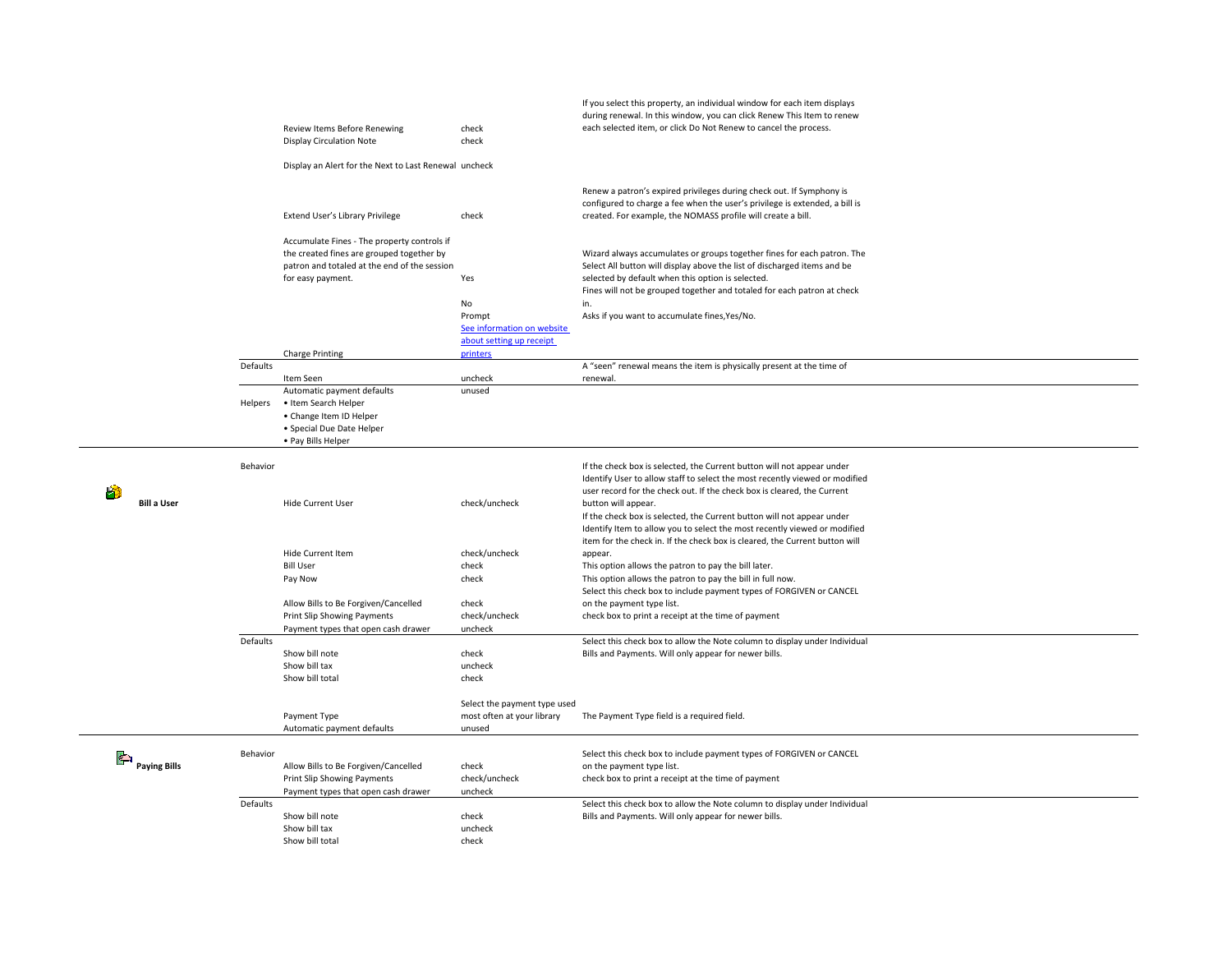|                              |          | Review Items Before Renewing<br><b>Display Circulation Note</b><br>Display an Alert for the Next to Last Renewal uncheck                                      | check<br>check                                                                     | If you select this property, an individual window for each item displays<br>during renewal. In this window, you can click Renew This Item to renew<br>each selected item, or click Do Not Renew to cancel the process.                                                              |
|------------------------------|----------|---------------------------------------------------------------------------------------------------------------------------------------------------------------|------------------------------------------------------------------------------------|-------------------------------------------------------------------------------------------------------------------------------------------------------------------------------------------------------------------------------------------------------------------------------------|
|                              |          | Extend User's Library Privilege                                                                                                                               | check                                                                              | Renew a patron's expired privileges during check out. If Symphony is<br>configured to charge a fee when the user's privilege is extended, a bill is<br>created. For example, the NOMASS profile will create a bill.                                                                 |
|                              |          | Accumulate Fines - The property controls if<br>the created fines are grouped together by<br>patron and totaled at the end of the session<br>for easy payment. | Yes                                                                                | Wizard always accumulates or groups together fines for each patron. The<br>Select All button will display above the list of discharged items and be<br>selected by default when this option is selected.<br>Fines will not be grouped together and totaled for each patron at check |
|                              |          | <b>Charge Printing</b>                                                                                                                                        | No<br>Prompt<br>See information on website<br>about setting up receipt<br>printers | in.<br>Asks if you want to accumulate fines, Yes/No.                                                                                                                                                                                                                                |
|                              | Defaults |                                                                                                                                                               |                                                                                    | A "seen" renewal means the item is physically present at the time of                                                                                                                                                                                                                |
|                              | Helpers  | Item Seen<br>Automatic payment defaults<br>• Item Search Helper<br>• Change Item ID Helper<br>• Special Due Date Helper<br>• Pay Bills Helper                 | uncheck<br>unused                                                                  | renewal.                                                                                                                                                                                                                                                                            |
|                              | Behavior |                                                                                                                                                               |                                                                                    | If the check box is selected, the Current button will not appear under<br>Identify User to allow staff to select the most recently viewed or modified<br>user record for the check out. If the check box is cleared, the Current                                                    |
| <b>Bill a User</b>           |          | <b>Hide Current User</b>                                                                                                                                      | check/uncheck                                                                      | button will appear.<br>If the check box is selected, the Current button will not appear under<br>Identify Item to allow you to select the most recently viewed or modified<br>item for the check in. If the check box is cleared, the Current button will                           |
|                              |          | <b>Hide Current Item</b><br><b>Bill User</b><br>Pay Now                                                                                                       | check/uncheck<br>check<br>check                                                    | appear.<br>This option allows the patron to pay the bill later.<br>This option allows the patron to pay the bill in full now.                                                                                                                                                       |
|                              |          | Allow Bills to Be Forgiven/Cancelled<br>Print Slip Showing Payments<br>Payment types that open cash drawer                                                    | check<br>check/uncheck<br>uncheck                                                  | Select this check box to include payment types of FORGIVEN or CANCEL<br>on the payment type list.<br>check box to print a receipt at the time of payment                                                                                                                            |
| Defaults                     |          | Show bill note<br>Show bill tax<br>Show bill total                                                                                                            | check<br>uncheck<br>check                                                          | Select this check box to allow the Note column to display under Individual<br>Bills and Payments. Will only appear for newer bills.                                                                                                                                                 |
|                              |          | Payment Type<br>Automatic payment defaults                                                                                                                    | Select the payment type used<br>most often at your library<br>unused               | The Payment Type field is a required field.                                                                                                                                                                                                                                         |
| $\sum_{\text{Paying Bills}}$ | Behavior | Allow Bills to Be Forgiven/Cancelled<br>Print Slip Showing Payments<br>Payment types that open cash drawer                                                    | check<br>check/uncheck<br>uncheck                                                  | Select this check box to include payment types of FORGIVEN or CANCEL<br>on the payment type list.<br>check box to print a receipt at the time of payment                                                                                                                            |
|                              | Defaults | Show bill note<br>Show bill tax<br>Show bill total                                                                                                            | check<br>uncheck<br>check                                                          | Select this check box to allow the Note column to display under Individual<br>Bills and Payments. Will only appear for newer bills.                                                                                                                                                 |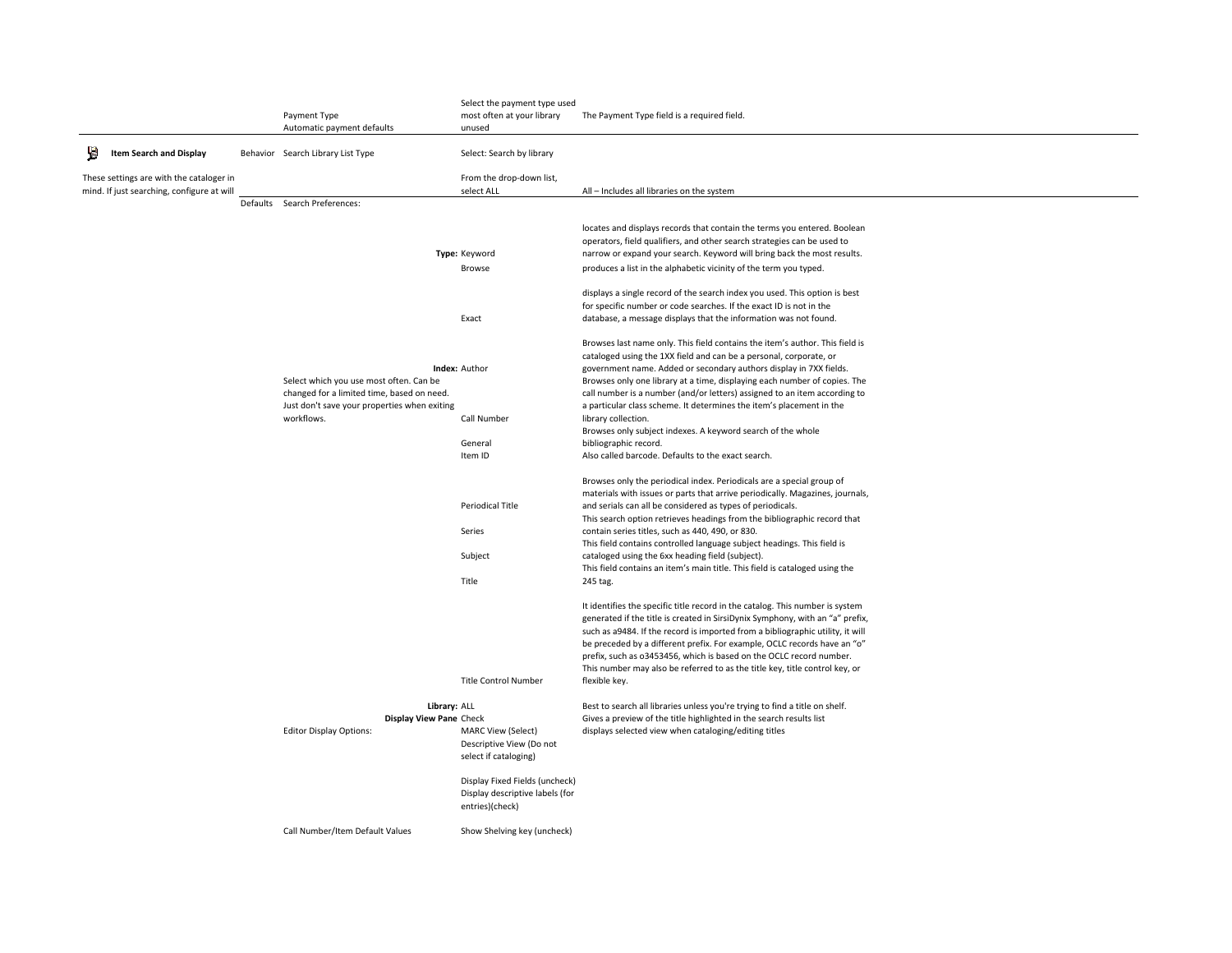|    |                                            |                                              | Select the payment type used    |                                                                                              |
|----|--------------------------------------------|----------------------------------------------|---------------------------------|----------------------------------------------------------------------------------------------|
|    |                                            | Payment Type                                 | most often at your library      | The Payment Type field is a required field.                                                  |
|    |                                            | Automatic payment defaults                   | unused                          |                                                                                              |
| W. | Item Search and Display                    | Behavior Search Library List Type            | Select: Search by library       |                                                                                              |
|    | These settings are with the cataloger in   |                                              | From the drop-down list,        |                                                                                              |
|    | mind. If just searching, configure at will |                                              | select ALL                      | All - Includes all libraries on the system                                                   |
|    |                                            | Defaults Search Preferences:                 |                                 |                                                                                              |
|    |                                            |                                              |                                 |                                                                                              |
|    |                                            |                                              |                                 | locates and displays records that contain the terms you entered. Boolean                     |
|    |                                            |                                              |                                 | operators, field qualifiers, and other search strategies can be used to                      |
|    |                                            |                                              | Type: Keyword                   | narrow or expand your search. Keyword will bring back the most results.                      |
|    |                                            |                                              | Browse                          | produces a list in the alphabetic vicinity of the term you typed.                            |
|    |                                            |                                              |                                 |                                                                                              |
|    |                                            |                                              |                                 | displays a single record of the search index you used. This option is best                   |
|    |                                            |                                              |                                 | for specific number or code searches. If the exact ID is not in the                          |
|    |                                            |                                              | Exact                           | database, a message displays that the information was not found.                             |
|    |                                            |                                              |                                 |                                                                                              |
|    |                                            |                                              |                                 | Browses last name only. This field contains the item's author. This field is                 |
|    |                                            |                                              |                                 | cataloged using the 1XX field and can be a personal, corporate, or                           |
|    |                                            |                                              | <b>Index: Author</b>            | government name. Added or secondary authors display in 7XX fields.                           |
|    |                                            | Select which you use most often. Can be      |                                 | Browses only one library at a time, displaying each number of copies. The                    |
|    |                                            | changed for a limited time, based on need.   |                                 | call number is a number (and/or letters) assigned to an item according to                    |
|    |                                            | Just don't save your properties when exiting |                                 | a particular class scheme. It determines the item's placement in the                         |
|    |                                            | workflows.                                   | Call Number                     | library collection.                                                                          |
|    |                                            |                                              |                                 | Browses only subject indexes. A keyword search of the whole                                  |
|    |                                            |                                              | General<br>Item ID              | bibliographic record.<br>Also called barcode. Defaults to the exact search.                  |
|    |                                            |                                              |                                 |                                                                                              |
|    |                                            |                                              |                                 | Browses only the periodical index. Periodicals are a special group of                        |
|    |                                            |                                              |                                 | materials with issues or parts that arrive periodically. Magazines, journals,                |
|    |                                            |                                              | Periodical Title                | and serials can all be considered as types of periodicals.                                   |
|    |                                            |                                              |                                 | This search option retrieves headings from the bibliographic record that                     |
|    |                                            |                                              | Series                          | contain series titles, such as 440, 490, or 830.                                             |
|    |                                            |                                              |                                 | This field contains controlled language subject headings. This field is                      |
|    |                                            |                                              | Subject                         | cataloged using the 6xx heading field (subject).                                             |
|    |                                            |                                              |                                 | This field contains an item's main title. This field is cataloged using the                  |
|    |                                            |                                              | Title                           | 245 tag.                                                                                     |
|    |                                            |                                              |                                 |                                                                                              |
|    |                                            |                                              |                                 | It identifies the specific title record in the catalog. This number is system                |
|    |                                            |                                              |                                 | generated if the title is created in SirsiDynix Symphony, with an "a" prefix,                |
|    |                                            |                                              |                                 | such as a9484. If the record is imported from a bibliographic utility, it will               |
|    |                                            |                                              |                                 | be preceded by a different prefix. For example, OCLC records have an "o"                     |
|    |                                            |                                              |                                 | prefix, such as 03453456, which is based on the OCLC record number.                          |
|    |                                            |                                              | Title Control Number            | This number may also be referred to as the title key, title control key, or<br>flexible key. |
|    |                                            |                                              |                                 |                                                                                              |
|    |                                            | Library: ALL                                 |                                 | Best to search all libraries unless you're trying to find a title on shelf.                  |
|    |                                            | Display View Pane Check                      |                                 | Gives a preview of the title highlighted in the search results list                          |
|    |                                            | <b>Editor Display Options:</b>               | <b>MARC View (Select)</b>       | displays selected view when cataloging/editing titles                                        |
|    |                                            |                                              | Descriptive View (Do not        |                                                                                              |
|    |                                            |                                              | select if cataloging)           |                                                                                              |
|    |                                            |                                              |                                 |                                                                                              |
|    |                                            |                                              | Display Fixed Fields (uncheck)  |                                                                                              |
|    |                                            |                                              | Display descriptive labels (for |                                                                                              |
|    |                                            |                                              | entries)(check)                 |                                                                                              |
|    |                                            |                                              |                                 |                                                                                              |
|    |                                            | Call Number/Item Default Values              | Show Shelving key (uncheck)     |                                                                                              |
|    |                                            |                                              |                                 |                                                                                              |
|    |                                            |                                              |                                 |                                                                                              |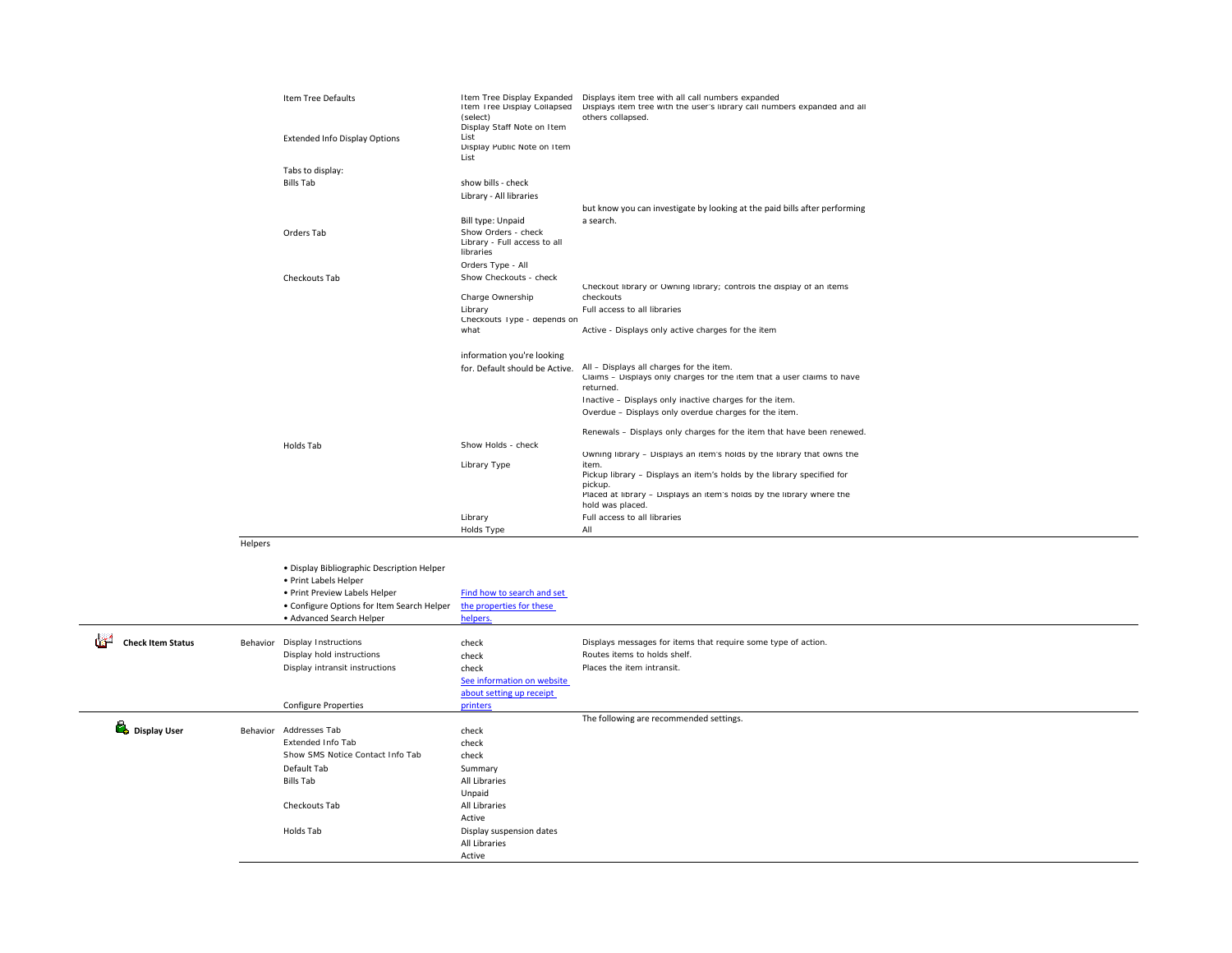|                               |         | Item Tree Defaults<br><b>Extended Info Display Options</b>                                                                                                                     | Item Tree Display Collapsed<br>(select)<br>Display Staff Note on Item<br>List<br>Display Public Note on Item<br>List | Item Tree Display Expanded  Displays item tree with all call numbers expanded<br>Displays item tree with the user's library call numbers expanded and all<br>others collapsed.                                                                                                                                                             |
|-------------------------------|---------|--------------------------------------------------------------------------------------------------------------------------------------------------------------------------------|----------------------------------------------------------------------------------------------------------------------|--------------------------------------------------------------------------------------------------------------------------------------------------------------------------------------------------------------------------------------------------------------------------------------------------------------------------------------------|
|                               |         | Tabs to display:<br><b>Bills Tab</b>                                                                                                                                           | show bills - check<br>Library - All libraries<br>Bill type: Unpaid                                                   | but know you can investigate by looking at the paid bills after performing<br>a search.                                                                                                                                                                                                                                                    |
|                               |         | Orders Tab                                                                                                                                                                     | Show Orders - check<br>Library - Full access to all<br>libraries<br>Orders Type - All                                |                                                                                                                                                                                                                                                                                                                                            |
|                               |         | Checkouts Tab                                                                                                                                                                  | Show Checkouts - check<br>Charge Ownership<br>Library<br>Checkouts Type - depends on<br>what                         | Checkout library or Owning library; controls the display of an items<br>checkouts<br>Full access to all libraries<br>Active - Displays only active charges for the item                                                                                                                                                                    |
|                               |         |                                                                                                                                                                                | information you're looking<br>for. Default should be Active.                                                         | All - Displays all charges for the item.<br>Claims - Displays only charges for the item that a user claims to have<br>returned.<br>Inactive - Displays only inactive charges for the item.<br>Overdue - Displays only overdue charges for the item.                                                                                        |
|                               |         | Holds Tab                                                                                                                                                                      | Show Holds - check<br>Library Type                                                                                   | Renewals - Displays only charges for the item that have been renewed.<br>Owning library - Displays an item's holds by the library that owns the<br>item.<br>Pickup library - Displays an item's holds by the library specified for<br>pickup.<br>Placed at library - Displays an item's holds by the library where the<br>hold was placed. |
|                               |         |                                                                                                                                                                                | Library<br>Holds Type                                                                                                | Full access to all libraries<br>All                                                                                                                                                                                                                                                                                                        |
|                               | Helpers |                                                                                                                                                                                |                                                                                                                      |                                                                                                                                                                                                                                                                                                                                            |
|                               |         | · Display Bibliographic Description Helper<br>• Print Labels Helper<br>· Print Preview Labels Helper<br>• Configure Options for Item Search Helper<br>· Advanced Search Helper | Find how to search and set<br>the properties for these<br>helpers                                                    |                                                                                                                                                                                                                                                                                                                                            |
| œ<br><b>Check Item Status</b> |         | Behavior Display Instructions<br>Display hold instructions<br>Display intransit instructions                                                                                   | check<br>check<br>check<br>See information on website<br>about setting up receipt                                    | Displays messages for items that require some type of action.<br>Routes items to holds shelf<br>Places the item intransit                                                                                                                                                                                                                  |
|                               |         | <b>Configure Properties</b>                                                                                                                                                    | printers                                                                                                             | The following are recommended settings.                                                                                                                                                                                                                                                                                                    |
| Display User                  |         | Behavior Addresses Tab<br>Extended Info Tab<br>Show SMS Notice Contact Info Tab<br>Default Tab<br><b>Bills Tab</b>                                                             | check<br>check<br>check<br>Summary<br>All Libraries<br>Unpaid                                                        |                                                                                                                                                                                                                                                                                                                                            |
|                               |         | Checkouts Tab<br>Holds Tab                                                                                                                                                     | All Libraries<br>Active<br>Display suspension dates<br>All Libraries<br>Active                                       |                                                                                                                                                                                                                                                                                                                                            |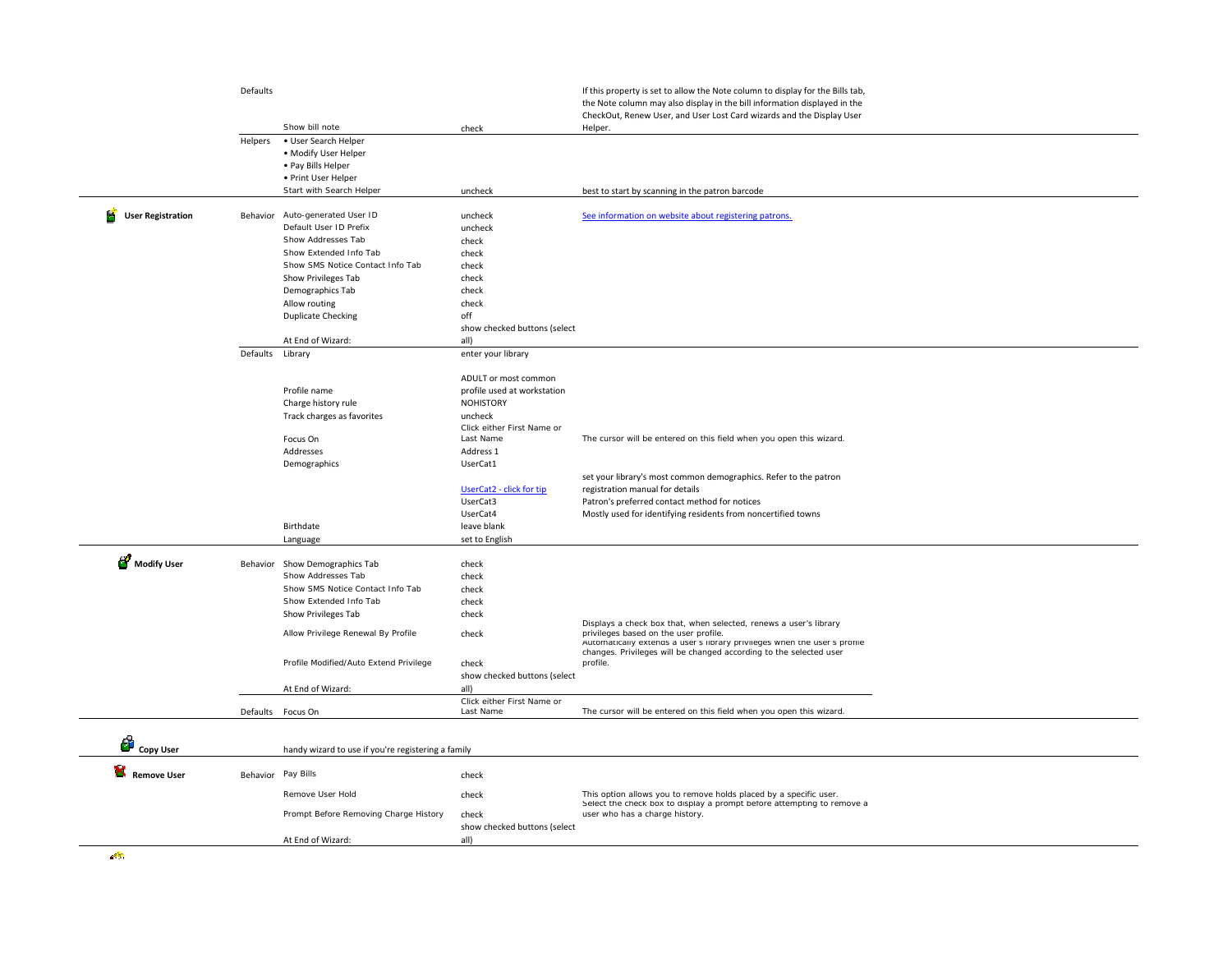|                               | Defaults           |                                                      |                                         | If this property is set to allow the Note column to display for the Bills tab, |
|-------------------------------|--------------------|------------------------------------------------------|-----------------------------------------|--------------------------------------------------------------------------------|
|                               |                    |                                                      |                                         | the Note column may also display in the bill information displayed in the      |
|                               |                    |                                                      |                                         | CheckOut, Renew User, and User Lost Card wizards and the Display User          |
|                               |                    | Show bill note                                       | check                                   | Helper.                                                                        |
|                               | Helpers            | • User Search Helper                                 |                                         |                                                                                |
|                               |                    | . Modify User Helper                                 |                                         |                                                                                |
|                               |                    | • Pay Bills Helper                                   |                                         |                                                                                |
|                               |                    | • Print User Helper                                  |                                         |                                                                                |
|                               |                    | Start with Search Helper                             | uncheck                                 | best to start by scanning in the patron barcode                                |
|                               |                    |                                                      |                                         |                                                                                |
| F<br><b>User Registration</b> |                    | Behavior Auto-generated User ID                      | uncheck                                 | See information on website about registering patrons.                          |
|                               |                    | Default User ID Prefix                               | uncheck                                 |                                                                                |
|                               |                    | Show Addresses Tab                                   | check                                   |                                                                                |
|                               |                    | Show Extended Info Tab                               | check                                   |                                                                                |
|                               |                    | Show SMS Notice Contact Info Tab                     | check                                   |                                                                                |
|                               |                    | Show Privileges Tab                                  | check                                   |                                                                                |
|                               |                    | Demographics Tab                                     | check                                   |                                                                                |
|                               |                    | Allow routing                                        | check                                   |                                                                                |
|                               |                    | <b>Duplicate Checking</b>                            | off                                     |                                                                                |
|                               |                    |                                                      | show checked buttons (select            |                                                                                |
|                               |                    | At End of Wizard:                                    |                                         |                                                                                |
|                               | Defaults           | Library                                              | all)<br>enter your library              |                                                                                |
|                               |                    |                                                      |                                         |                                                                                |
|                               |                    |                                                      | ADULT or most common                    |                                                                                |
|                               |                    | Profile name                                         | profile used at workstation             |                                                                                |
|                               |                    |                                                      |                                         |                                                                                |
|                               |                    | Charge history rule                                  | <b>NOHISTORY</b>                        |                                                                                |
|                               |                    | Track charges as favorites                           | uncheck                                 |                                                                                |
|                               |                    | Focus On                                             | Click either First Name or<br>Last Name | The cursor will be entered on this field when you open this wizard.            |
|                               |                    | Addresses                                            |                                         |                                                                                |
|                               |                    |                                                      | Address 1                               |                                                                                |
|                               |                    | Demographics                                         | UserCat1                                |                                                                                |
|                               |                    |                                                      |                                         | set your library's most common demographics. Refer to the patron               |
|                               |                    |                                                      | UserCat2 - click for tip                | registration manual for details                                                |
|                               |                    |                                                      | UserCat3                                | Patron's preferred contact method for notices                                  |
|                               |                    |                                                      | UserCat4                                | Mostly used for identifying residents from noncertified towns                  |
|                               |                    | Birthdate                                            | leave blank                             |                                                                                |
|                               |                    | Language                                             | set to English                          |                                                                                |
| Modify User                   |                    |                                                      |                                         |                                                                                |
|                               |                    | Behavior Show Demographics Tab<br>Show Addresses Tab | check                                   |                                                                                |
|                               |                    |                                                      | check                                   |                                                                                |
|                               |                    | Show SMS Notice Contact Info Tab                     | check                                   |                                                                                |
|                               |                    | Show Extended Info Tab                               | check                                   |                                                                                |
|                               |                    | Show Privileges Tab                                  | check                                   | Displays a check box that, when selected, renews a user's library              |
|                               |                    | Allow Privilege Renewal By Profile                   | check                                   | privileges based on the user profile.                                          |
|                               |                    |                                                      |                                         | Automatically extends a user's library privileges when the user's profile      |
|                               |                    |                                                      |                                         | changes. Privileges will be changed according to the selected user             |
|                               |                    | Profile Modified/Auto Extend Privilege               | check                                   | profile.                                                                       |
|                               |                    |                                                      | show checked buttons (select            |                                                                                |
|                               |                    | At End of Wizard:                                    | all)                                    |                                                                                |
|                               |                    |                                                      | Click either First Name or              |                                                                                |
|                               |                    | Defaults Focus On                                    | Last Name                               | The cursor will be entered on this field when you open this wizard.            |
|                               |                    |                                                      |                                         |                                                                                |
| <b>Copy User</b>              |                    |                                                      |                                         |                                                                                |
|                               |                    | handy wizard to use if you're registering a family   |                                         |                                                                                |
| Remove User                   | Behavior Pay Bills |                                                      | check                                   |                                                                                |
|                               |                    |                                                      |                                         |                                                                                |
|                               |                    | Remove User Hold                                     | check                                   | This option allows you to remove holds placed by a specific user.              |
|                               |                    |                                                      |                                         | Select the check box to display a prompt before attempting to remove a         |
|                               |                    | Prompt Before Removing Charge History                | check                                   | user who has a charge history.                                                 |
|                               |                    |                                                      |                                         |                                                                                |
|                               |                    | At End of Wizard:                                    | show checked buttons (select<br>all)    |                                                                                |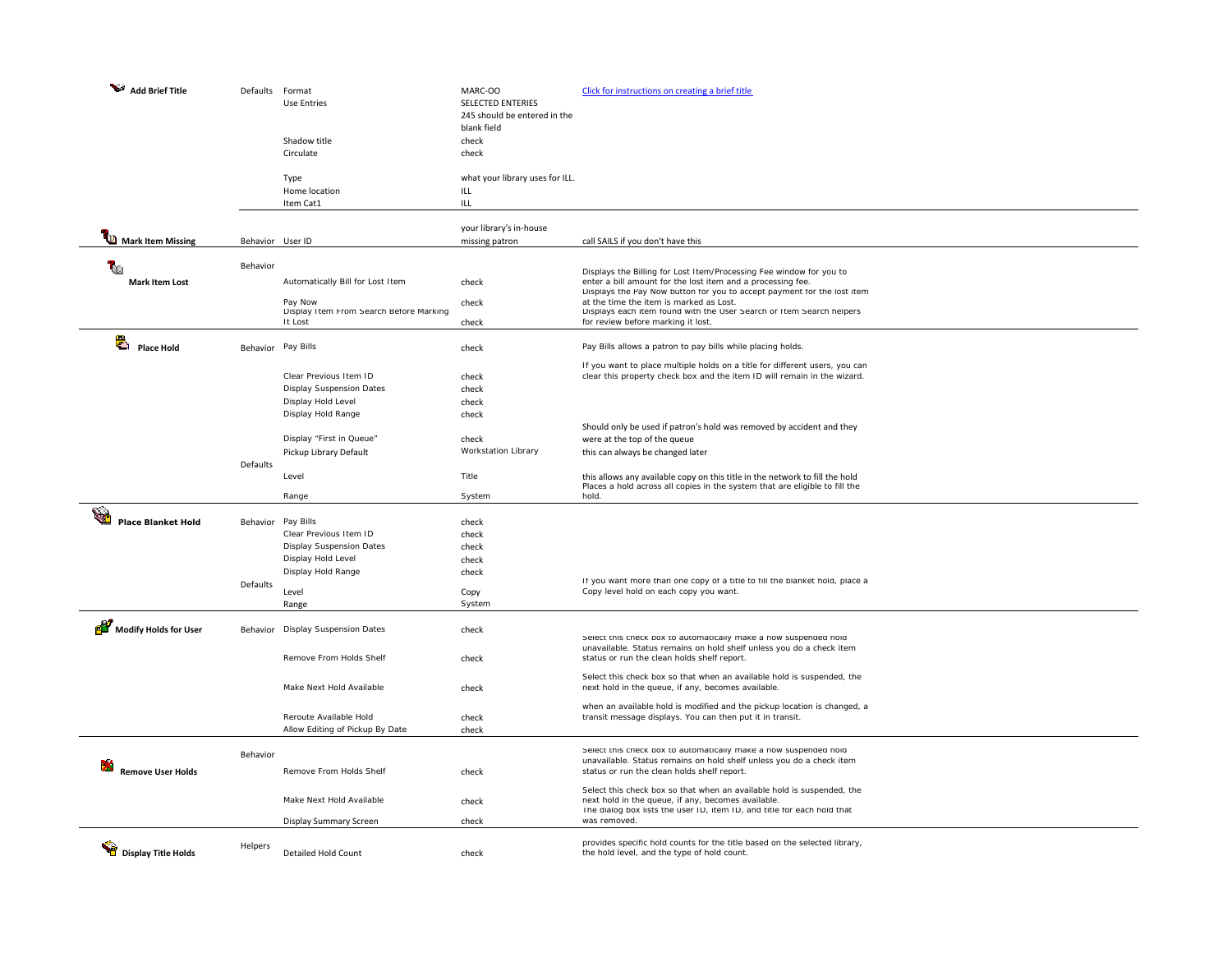| Add Brief Title                          | Defaults           | Format<br><b>Use Entries</b>                       | MARC-OO<br><b>SELECTED ENTERIES</b><br>245 should be entered in the<br>blank field | Click for instructions on creating a brief title                                                                                                                                                        |
|------------------------------------------|--------------------|----------------------------------------------------|------------------------------------------------------------------------------------|---------------------------------------------------------------------------------------------------------------------------------------------------------------------------------------------------------|
|                                          |                    | Shadow title                                       | check                                                                              |                                                                                                                                                                                                         |
|                                          |                    | Circulate                                          | check                                                                              |                                                                                                                                                                                                         |
|                                          |                    | Type<br>Home location                              | what your library uses for ILL.<br>ILL                                             |                                                                                                                                                                                                         |
|                                          |                    | Item Cat1                                          | ILL                                                                                |                                                                                                                                                                                                         |
| Mark Item Missing                        | Behavior User ID   |                                                    | your library's in-house<br>missing patron                                          | call SAILS if you don't have this                                                                                                                                                                       |
| 10                                       | Behavior           |                                                    |                                                                                    |                                                                                                                                                                                                         |
| <b>Mark Item Lost</b>                    |                    | Automatically Bill for Lost Item                   | check                                                                              | Displays the Billing for Lost Item/Processing Fee window for you to<br>enter a bill amount for the lost item and a processing fee.                                                                      |
|                                          |                    | Pay Now                                            | check                                                                              | Displays the Pay Now button for you to accept payment for the lost item<br>at the time the item is marked as Lost.                                                                                      |
|                                          |                    | Display Item From Search Before Marking<br>It Lost | check                                                                              | Displays each item found with the User Search or Item Search helpers<br>for review before marking it lost.                                                                                              |
| Ą                                        |                    |                                                    |                                                                                    |                                                                                                                                                                                                         |
| <b>Place Hold</b>                        | Behavior Pay Bills |                                                    | check                                                                              | Pay Bills allows a patron to pay bills while placing holds.                                                                                                                                             |
|                                          |                    | Clear Previous Item ID                             | check                                                                              | If you want to place multiple holds on a title for different users, you can<br>clear this property check box and the item ID will remain in the wizard.                                                 |
|                                          |                    | <b>Display Suspension Dates</b>                    | check                                                                              |                                                                                                                                                                                                         |
|                                          |                    | Display Hold Level                                 | check                                                                              |                                                                                                                                                                                                         |
|                                          |                    | Display Hold Range                                 | check                                                                              |                                                                                                                                                                                                         |
|                                          |                    | Display "First in Queue"                           | check                                                                              | Should only be used if patron's hold was removed by accident and they<br>were at the top of the queue                                                                                                   |
|                                          |                    | Pickup Library Default                             | Workstation Library                                                                | this can always be changed later                                                                                                                                                                        |
|                                          | Defaults           |                                                    |                                                                                    |                                                                                                                                                                                                         |
|                                          |                    | Level                                              | Title                                                                              | this allows any available copy on this title in the network to fill the hold<br>Places a hold across all copies in the system that are eligible to fill the                                             |
|                                          |                    | Range                                              | System                                                                             | hold.                                                                                                                                                                                                   |
| <b>Alla</b><br><b>Place Blanket Hold</b> | Behavior Pay Bills |                                                    | check                                                                              |                                                                                                                                                                                                         |
|                                          |                    | Clear Previous Item ID                             | check                                                                              |                                                                                                                                                                                                         |
|                                          |                    | <b>Display Suspension Dates</b>                    | check                                                                              |                                                                                                                                                                                                         |
|                                          |                    | Display Hold Level                                 | check                                                                              |                                                                                                                                                                                                         |
|                                          | Defaults           | Display Hold Range                                 | check                                                                              | If you want more than one copy of a title to fill the blanket hold, place a                                                                                                                             |
|                                          |                    | Level                                              | Copy                                                                               | Copy level hold on each copy you want.                                                                                                                                                                  |
|                                          |                    | Range                                              | System                                                                             |                                                                                                                                                                                                         |
| Modify Holds for User                    |                    | Behavior Display Suspension Dates                  | check                                                                              | Select this check box to automatically make a now suspended noid<br>unavailable. Status remains on hold shelf unless you do a check item                                                                |
|                                          |                    | Remove From Holds Shelf                            | check                                                                              | status or run the clean holds shelf report.                                                                                                                                                             |
|                                          |                    | Make Next Hold Available                           | check                                                                              | Select this check box so that when an available hold is suspended, the<br>next hold in the queue, if any, becomes available.                                                                            |
|                                          |                    | Reroute Available Hold                             | check                                                                              | when an available hold is modified and the pickup location is changed, a<br>transit message displays. You can then put it in transit.                                                                   |
|                                          |                    | Allow Editing of Pickup By Date                    | check                                                                              |                                                                                                                                                                                                         |
|                                          |                    |                                                    |                                                                                    | Select this check box to automatically make a now suspended hold                                                                                                                                        |
|                                          | Behavior           |                                                    |                                                                                    | unavailable. Status remains on hold shelf unless you do a check item                                                                                                                                    |
| <b>Remove User Holds</b>                 |                    | Remove From Holds Shelf                            | check                                                                              | status or run the clean holds shelf report.                                                                                                                                                             |
|                                          |                    | Make Next Hold Available                           | check                                                                              | Select this check box so that when an available hold is suspended, the<br>next hold in the queue, if any, becomes available.<br>The dialog box lists the user ID, item ID, and title for each hold that |
|                                          |                    | Display Summary Screen                             | check                                                                              | was removed.                                                                                                                                                                                            |
| Display Title Holds                      | Helpers            | Detailed Hold Count                                | check                                                                              | provides specific hold counts for the title based on the selected library,<br>the hold level, and the type of hold count.                                                                               |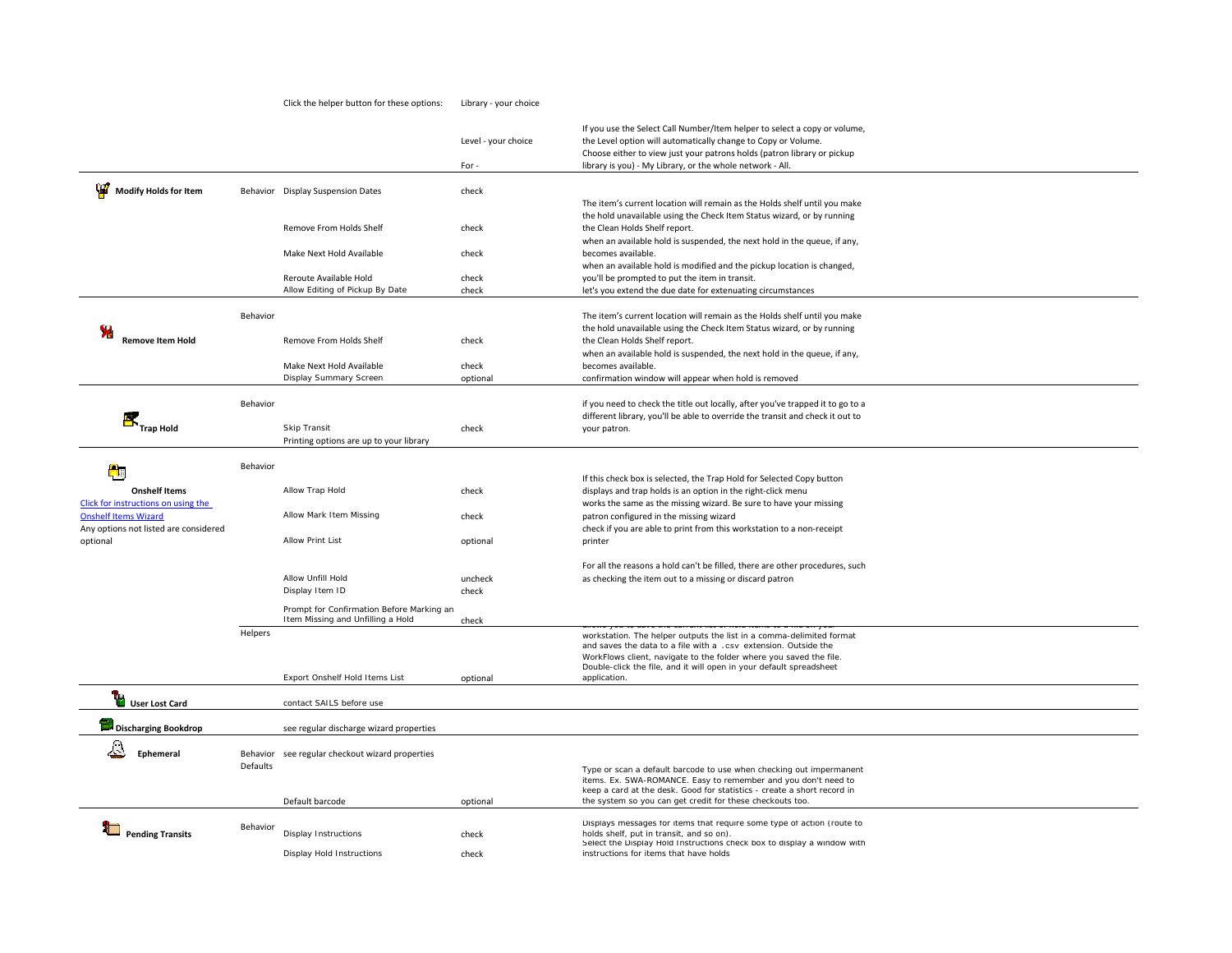|                                                             |                 |                                                                                | Level - your choice<br>For- | If you use the Select Call Number/Item helper to select a copy or volume,<br>the Level option will automatically change to Copy or Volume.<br>Choose either to view just your patrons holds (patron library or pickup<br>library is you) - My Library, or the whole network - All.   |
|-------------------------------------------------------------|-----------------|--------------------------------------------------------------------------------|-----------------------------|--------------------------------------------------------------------------------------------------------------------------------------------------------------------------------------------------------------------------------------------------------------------------------------|
|                                                             |                 |                                                                                |                             |                                                                                                                                                                                                                                                                                      |
| Modify Holds for Item                                       |                 | Behavior Display Suspension Dates                                              | check                       | The item's current location will remain as the Holds shelf until you make                                                                                                                                                                                                            |
|                                                             |                 | Remove From Holds Shelf                                                        | check                       | the hold unavailable using the Check Item Status wizard, or by running<br>the Clean Holds Shelf report.<br>when an available hold is suspended, the next hold in the queue, if any,                                                                                                  |
|                                                             |                 | Make Next Hold Available                                                       | check                       | becomes available.<br>when an available hold is modified and the pickup location is changed,                                                                                                                                                                                         |
|                                                             |                 | Reroute Available Hold                                                         | check                       | you'll be prompted to put the item in transit.                                                                                                                                                                                                                                       |
|                                                             |                 | Allow Editing of Pickup By Date                                                | check                       | let's you extend the due date for extenuating circumstances                                                                                                                                                                                                                          |
|                                                             | Behavior        |                                                                                |                             | The item's current location will remain as the Holds shelf until you make<br>the hold unavailable using the Check Item Status wizard, or by running                                                                                                                                  |
| <b>Remove Item Hold</b>                                     |                 | Remove From Holds Shelf                                                        | check                       | the Clean Holds Shelf report.<br>when an available hold is suspended, the next hold in the queue, if any,                                                                                                                                                                            |
|                                                             |                 | Make Next Hold Available<br>Display Summary Screen                             | check                       | becomes available.                                                                                                                                                                                                                                                                   |
|                                                             |                 |                                                                                | optional                    | confirmation window will appear when hold is removed                                                                                                                                                                                                                                 |
|                                                             | Behavior        |                                                                                |                             | if you need to check the title out locally, after you've trapped it to go to a<br>different library, you'll be able to override the transit and check it out to                                                                                                                      |
| <b>RE</b><br>Trap Hold                                      |                 | Skip Transit                                                                   | check                       | your patron.                                                                                                                                                                                                                                                                         |
|                                                             |                 | Printing options are up to your library                                        |                             |                                                                                                                                                                                                                                                                                      |
| f۵                                                          | Behavior        |                                                                                |                             |                                                                                                                                                                                                                                                                                      |
|                                                             |                 |                                                                                |                             | If this check box is selected, the Trap Hold for Selected Copy button                                                                                                                                                                                                                |
| <b>Onshelf Items</b><br>Click for instructions on using the |                 | Allow Trap Hold                                                                | check                       | displays and trap holds is an option in the right-click menu<br>works the same as the missing wizard. Be sure to have your missing                                                                                                                                                   |
| <b>Onshelf Items Wizard</b>                                 |                 | Allow Mark Item Missing                                                        | check                       | patron configured in the missing wizard                                                                                                                                                                                                                                              |
| Any options not listed are considered                       |                 |                                                                                |                             | check if you are able to print from this workstation to a non-receipt                                                                                                                                                                                                                |
| optional                                                    |                 | <b>Allow Print List</b>                                                        | optional                    | printer                                                                                                                                                                                                                                                                              |
|                                                             |                 |                                                                                |                             | For all the reasons a hold can't be filled, there are other procedures, such                                                                                                                                                                                                         |
|                                                             |                 | Allow Unfill Hold                                                              | uncheck                     | as checking the item out to a missing or discard patron                                                                                                                                                                                                                              |
|                                                             |                 | Display Item ID                                                                | check                       |                                                                                                                                                                                                                                                                                      |
|                                                             |                 | Prompt for Confirmation Before Marking an<br>Item Missing and Unfilling a Hold | check                       |                                                                                                                                                                                                                                                                                      |
|                                                             | Helpers         |                                                                                |                             | workstation. The helper outputs the list in a comma-delimited format<br>and saves the data to a file with a .csv extension. Outside the<br>WorkFlows client, navigate to the folder where you saved the file.<br>Double-click the file, and it will open in your default spreadsheet |
|                                                             |                 | Export Onshelf Hold Items List                                                 | optional                    | application.                                                                                                                                                                                                                                                                         |
| <b>TO</b> User Lost Card                                    |                 | contact SAILS before use                                                       |                             |                                                                                                                                                                                                                                                                                      |
| <b>Discharging Bookdrop</b>                                 |                 | see regular discharge wizard properties                                        |                             |                                                                                                                                                                                                                                                                                      |
| Ephemeral                                                   | <b>Defaults</b> | Behavior see regular checkout wizard properties                                |                             | Type or scan a default barcode to use when checking out impermanent<br>items. Ex. SWA-ROMANCE. Easy to remember and you don't need to<br>keep a card at the desk. Good for statistics - create a short record in                                                                     |
|                                                             |                 | Default barcode                                                                | optional                    | the system so you can get credit for these checkouts too.                                                                                                                                                                                                                            |
| <b>Pending Transits</b>                                     | Behavior        | <b>Display Instructions</b>                                                    | check                       | Displays messages for items that require some type of action (route to<br>holds shelf, put in transit, and so on).<br>Select the Display Hold Instructions check box to display a window with                                                                                        |
|                                                             |                 | Display Hold Instructions                                                      | check                       | instructions for items that have holds                                                                                                                                                                                                                                               |

Click the helper button for these options: Library ‐ your choice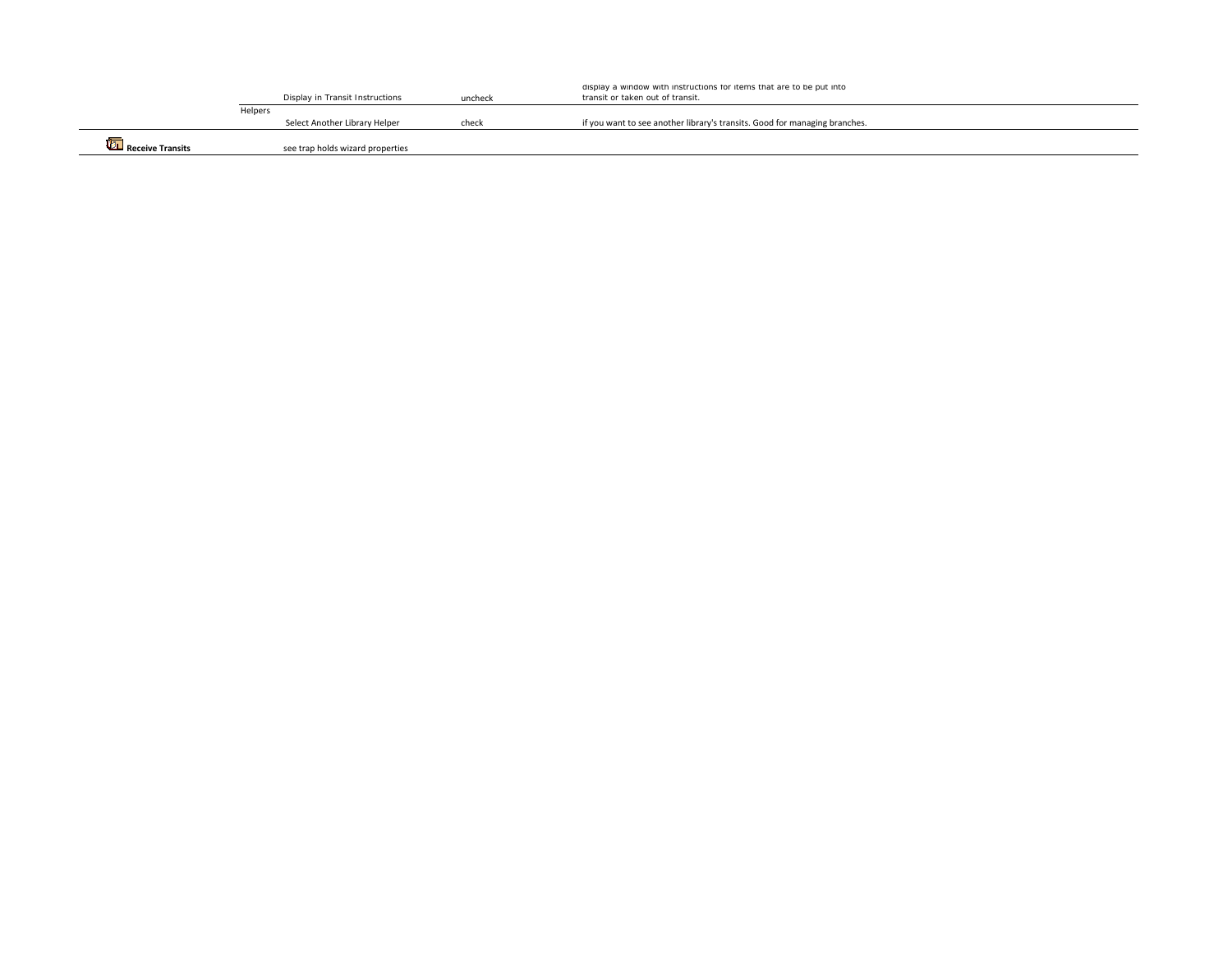|                            |         | Display in Transit Instructions  | uncheck | display a window with instructions for items that are to be put into<br>transit or taken out of transit. |
|----------------------------|---------|----------------------------------|---------|----------------------------------------------------------------------------------------------------------|
|                            | Helpers |                                  |         |                                                                                                          |
|                            |         | Select Another Library Helper    | check   | if you want to see another library's transits. Good for managing branches.                               |
| <b>UT</b> Receive Transits |         | see trap holds wizard properties |         |                                                                                                          |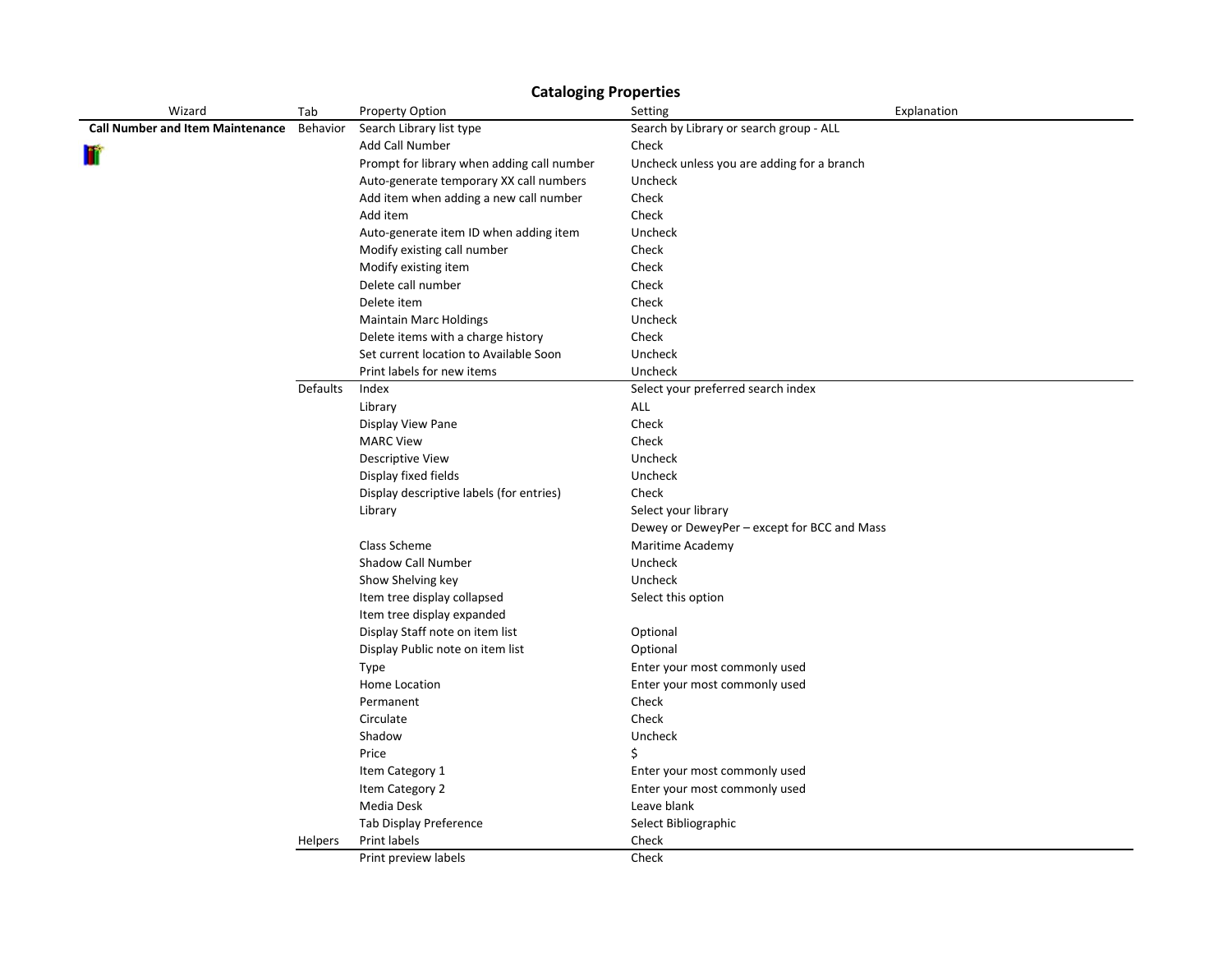| Wizard                                  | Tab      | Property Option                            | Setting                                     | Explanation |
|-----------------------------------------|----------|--------------------------------------------|---------------------------------------------|-------------|
| <b>Call Number and Item Maintenance</b> | Behavior | Search Library list type                   | Search by Library or search group - ALL     |             |
| m                                       |          | Add Call Number                            | Check                                       |             |
|                                         |          | Prompt for library when adding call number | Uncheck unless you are adding for a branch  |             |
|                                         |          | Auto-generate temporary XX call numbers    | Uncheck                                     |             |
|                                         |          | Add item when adding a new call number     | Check                                       |             |
|                                         |          | Add item                                   | Check                                       |             |
|                                         |          | Auto-generate item ID when adding item     | Uncheck                                     |             |
|                                         |          | Modify existing call number                | Check                                       |             |
|                                         |          | Modify existing item                       | Check                                       |             |
|                                         |          | Delete call number                         | Check                                       |             |
|                                         |          | Delete item                                | Check                                       |             |
|                                         |          | <b>Maintain Marc Holdings</b>              | Uncheck                                     |             |
|                                         |          | Delete items with a charge history         | Check                                       |             |
|                                         |          | Set current location to Available Soon     | Uncheck                                     |             |
|                                         |          | Print labels for new items                 | Uncheck                                     |             |
|                                         | Defaults | Index                                      | Select your preferred search index          |             |
|                                         |          | Library                                    | ALL                                         |             |
|                                         |          | Display View Pane                          | Check                                       |             |
|                                         |          | <b>MARC View</b>                           | Check                                       |             |
|                                         |          | <b>Descriptive View</b>                    | Uncheck                                     |             |
|                                         |          | Display fixed fields                       | Uncheck                                     |             |
|                                         |          | Display descriptive labels (for entries)   | Check                                       |             |
|                                         |          | Library                                    | Select your library                         |             |
|                                         |          |                                            | Dewey or DeweyPer - except for BCC and Mass |             |
|                                         |          | Class Scheme                               | Maritime Academy                            |             |
|                                         |          | Shadow Call Number                         | Uncheck                                     |             |
|                                         |          | Show Shelving key                          | Uncheck                                     |             |
|                                         |          | Item tree display collapsed                | Select this option                          |             |
|                                         |          | Item tree display expanded                 |                                             |             |
|                                         |          | Display Staff note on item list            | Optional                                    |             |
|                                         |          | Display Public note on item list           | Optional                                    |             |
|                                         |          | Type                                       | Enter your most commonly used               |             |
|                                         |          | Home Location                              | Enter your most commonly used               |             |
|                                         |          | Permanent                                  | Check                                       |             |
|                                         |          | Circulate                                  | Check                                       |             |
|                                         |          | Shadow                                     | Uncheck                                     |             |
|                                         |          | Price                                      | \$                                          |             |
|                                         |          | Item Category 1                            | Enter your most commonly used               |             |
|                                         |          | Item Category 2                            | Enter your most commonly used               |             |
|                                         |          | Media Desk                                 | Leave blank                                 |             |
|                                         |          | Tab Display Preference                     | Select Bibliographic                        |             |
|                                         | Helpers  | Print labels                               | Check                                       |             |
|                                         |          | Print preview labels                       | Check                                       |             |

**Cataloging Properties**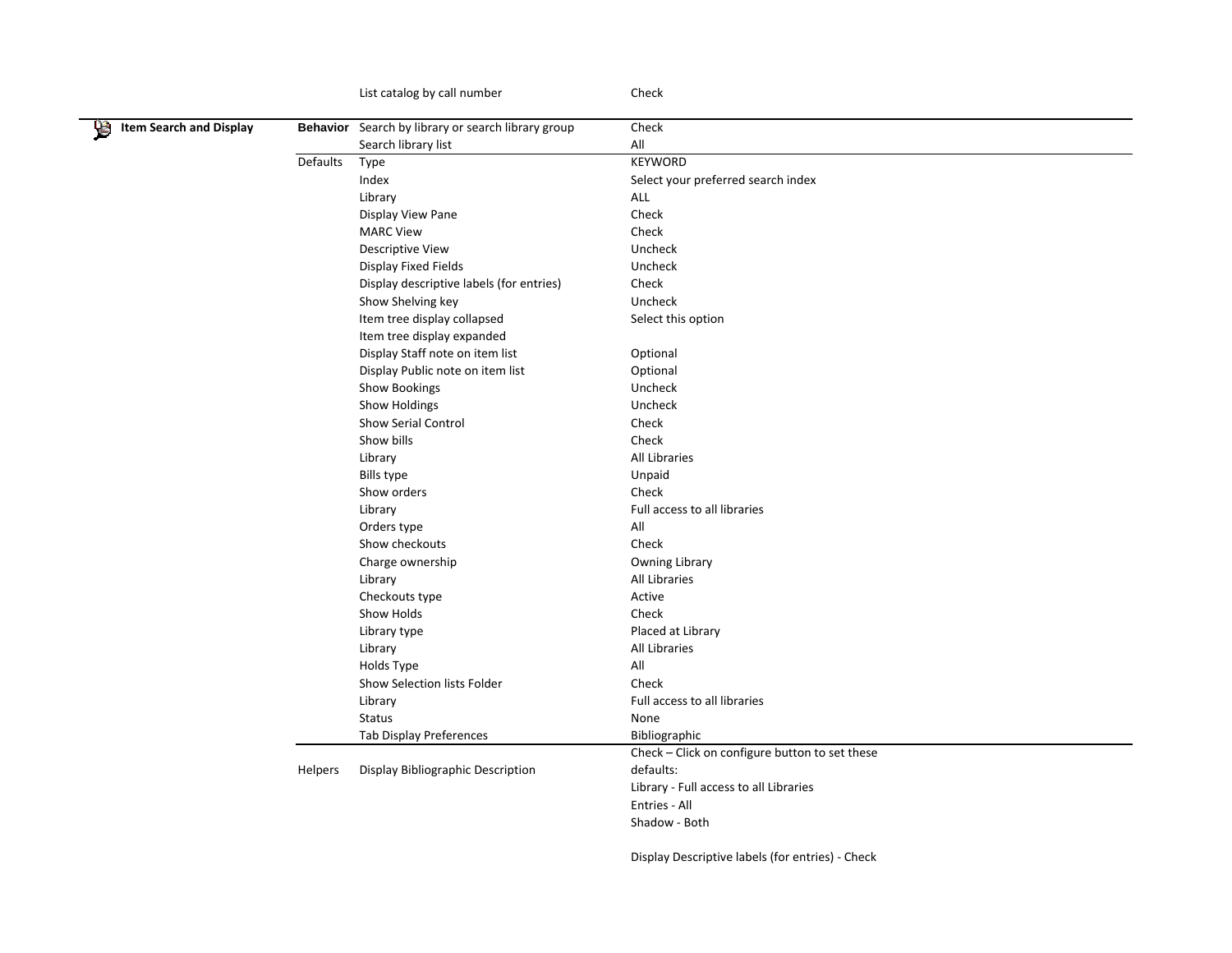|                                     | List catalog by call number                        | Check                                            |
|-------------------------------------|----------------------------------------------------|--------------------------------------------------|
| <b>Item Search and Display</b><br>뗳 | Behavior Search by library or search library group | Check                                            |
|                                     | Search library list                                | All                                              |
| Defaults                            | Type                                               | KEYWORD                                          |
|                                     | Index                                              | Select your preferred search index               |
|                                     | Library                                            | ALL                                              |
|                                     | Display View Pane                                  | Check                                            |
|                                     | <b>MARC View</b>                                   | Check                                            |
|                                     | Descriptive View                                   | Uncheck                                          |
|                                     | Display Fixed Fields                               | Uncheck                                          |
|                                     | Display descriptive labels (for entries)           | Check                                            |
|                                     | Show Shelving key                                  | Uncheck                                          |
|                                     | Item tree display collapsed                        | Select this option                               |
|                                     | Item tree display expanded                         |                                                  |
|                                     | Display Staff note on item list                    | Optional                                         |
|                                     | Display Public note on item list                   | Optional                                         |
|                                     | <b>Show Bookings</b>                               | Uncheck                                          |
|                                     | Show Holdings                                      | Uncheck                                          |
|                                     | Show Serial Control                                | Check                                            |
|                                     | Show bills                                         | Check                                            |
|                                     | Library                                            | All Libraries                                    |
|                                     | <b>Bills type</b>                                  | Unpaid                                           |
|                                     | Show orders                                        | Check                                            |
|                                     | Library                                            | Full access to all libraries                     |
|                                     | Orders type                                        | All                                              |
|                                     | Show checkouts                                     | Check                                            |
|                                     | Charge ownership                                   | Owning Library                                   |
|                                     | Library                                            | All Libraries                                    |
|                                     | Checkouts type                                     | Active                                           |
|                                     | Show Holds                                         | Check                                            |
|                                     | Library type                                       | Placed at Library                                |
|                                     | Library                                            | All Libraries                                    |
|                                     | Holds Type                                         | All                                              |
|                                     | Show Selection lists Folder                        | Check                                            |
|                                     | Library                                            | Full access to all libraries                     |
|                                     | <b>Status</b>                                      | None                                             |
|                                     | Tab Display Preferences                            | Bibliographic                                    |
|                                     |                                                    | Check - Click on configure button to set these   |
| Helpers                             | Display Bibliographic Description                  | defaults:                                        |
|                                     |                                                    | Library - Full access to all Libraries           |
|                                     |                                                    | Entries - All                                    |
|                                     |                                                    | Shadow - Both                                    |
|                                     |                                                    | Display Descriptive labels (for entries) - Check |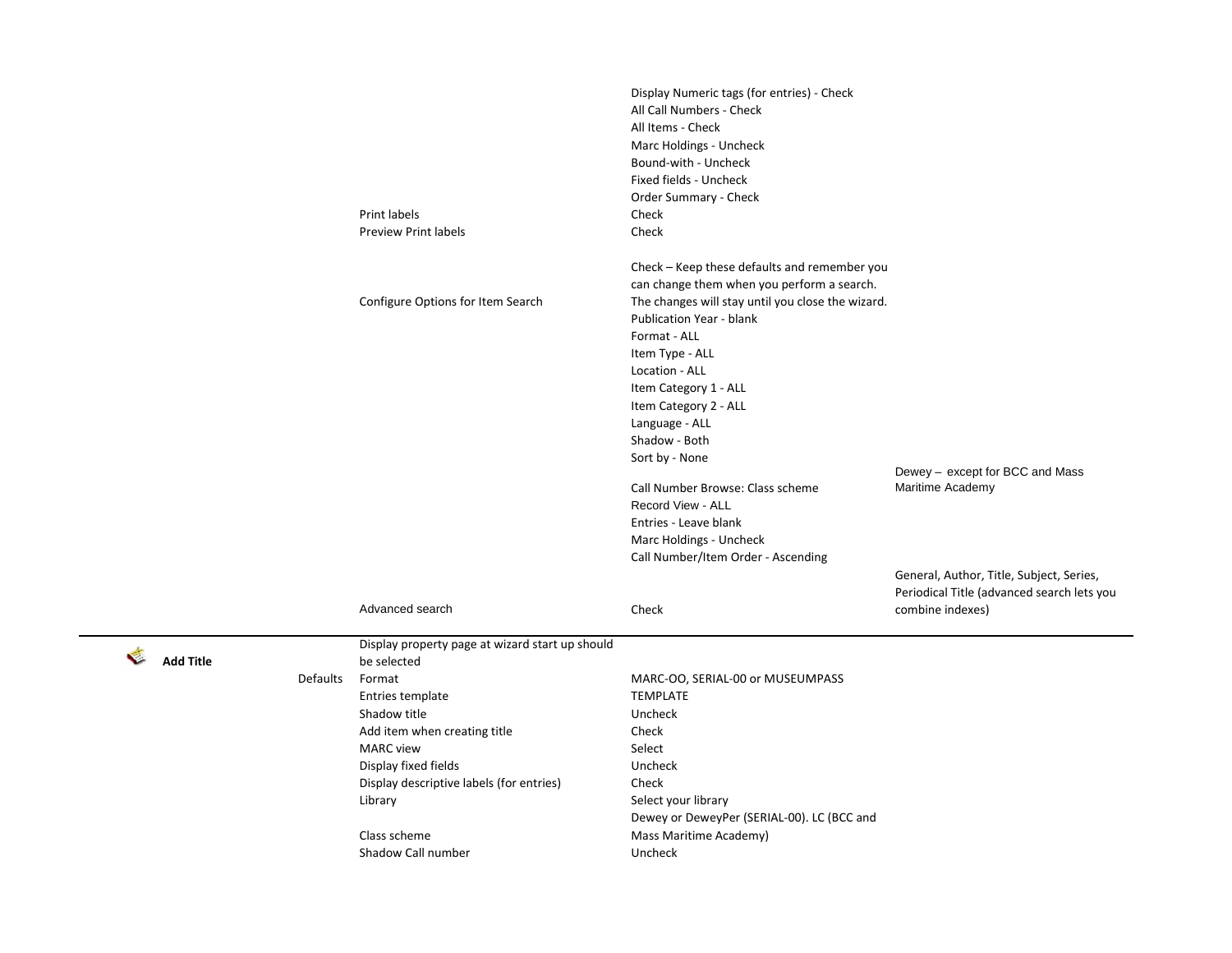|          | Print labels<br><b>Preview Print labels</b>                      | Display Numeric tags (for entries) - Check<br>All Call Numbers - Check<br>All Items - Check<br>Marc Holdings - Uncheck<br>Bound-with - Uncheck<br>Fixed fields - Uncheck<br>Order Summary - Check<br>Check<br>Check |                                                                                                            |
|----------|------------------------------------------------------------------|---------------------------------------------------------------------------------------------------------------------------------------------------------------------------------------------------------------------|------------------------------------------------------------------------------------------------------------|
|          | Configure Options for Item Search                                | Check - Keep these defaults and remember you<br>can change them when you perform a search.<br>The changes will stay until you close the wizard.<br>Publication Year - blank<br>Format - ALL<br>Item Type - ALL      |                                                                                                            |
|          |                                                                  | Location - ALL<br>Item Category 1 - ALL<br>Item Category 2 - ALL<br>Language - ALL<br>Shadow - Both                                                                                                                 |                                                                                                            |
|          |                                                                  | Sort by - None<br>Call Number Browse: Class scheme<br>Record View - ALL<br>Entries - Leave blank<br>Marc Holdings - Uncheck<br>Call Number/Item Order - Ascending                                                   | Dewey - except for BCC and Mass<br>Maritime Academy                                                        |
|          | Advanced search                                                  | Check                                                                                                                                                                                                               | General, Author, Title, Subject, Series,<br>Periodical Title (advanced search lets you<br>combine indexes) |
|          | Display property page at wizard start up should<br>be selected   |                                                                                                                                                                                                                     |                                                                                                            |
| Defaults | Format<br>Entries template                                       | MARC-OO, SERIAL-00 or MUSEUMPASS<br><b>TEMPLATE</b>                                                                                                                                                                 |                                                                                                            |
|          | Shadow title                                                     | Uncheck                                                                                                                                                                                                             |                                                                                                            |
|          | Add item when creating title                                     | Check                                                                                                                                                                                                               |                                                                                                            |
|          | <b>MARC</b> view                                                 | Select                                                                                                                                                                                                              |                                                                                                            |
|          | Display fixed fields<br>Display descriptive labels (for entries) | Uncheck<br>Check                                                                                                                                                                                                    |                                                                                                            |
|          | Library                                                          | Select your library<br>Dewey or DeweyPer (SERIAL-00). LC (BCC and                                                                                                                                                   |                                                                                                            |
|          | Class scheme                                                     | Mass Maritime Academy)                                                                                                                                                                                              |                                                                                                            |
|          | Shadow Call number                                               | Uncheck                                                                                                                                                                                                             |                                                                                                            |

**Add Title**